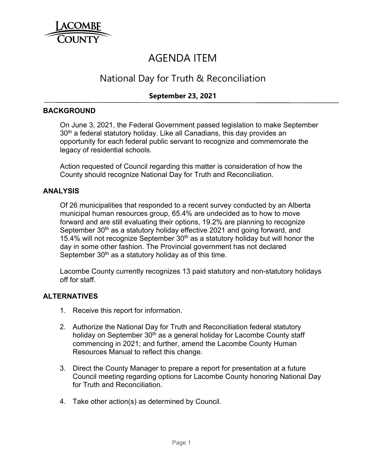

# AGENDA ITEM

# National Day for Truth & Reconciliation

# **September 23, 2021**

#### **BACKGROUND**

On June 3, 2021, the Federal Government passed legislation to make September  $30<sup>th</sup>$  a federal statutory holiday. Like all Canadians, this day provides an opportunity for each federal public servant to recognize and commemorate the legacy of residential schools.

Action requested of Council regarding this matter is consideration of how the County should recognize National Day for Truth and Reconciliation.

#### **ANALYSIS**

Of 26 municipalities that responded to a recent survey conducted by an Alberta municipal human resources group, 65.4% are undecided as to how to move forward and are still evaluating their options, 19.2% are planning to recognize September 30<sup>th</sup> as a statutory holiday effective 2021 and going forward, and 15.4% will not recognize September  $30<sup>th</sup>$  as a statutory holiday but will honor the day in some other fashion. The Provincial government has not declared September  $30<sup>th</sup>$  as a statutory holiday as of this time.

Lacombe County currently recognizes 13 paid statutory and non-statutory holidays off for staff.

#### **ALTERNATIVES**

- 1. Receive this report for information.
- 2. Authorize the National Day for Truth and Reconciliation federal statutory holiday on September 30<sup>th</sup> as a general holiday for Lacombe County staff commencing in 2021; and further, amend the Lacombe County Human Resources Manual to reflect this change.
- 3. Direct the County Manager to prepare a report for presentation at a future Council meeting regarding options for Lacombe County honoring National Day for Truth and Reconciliation.
- 4. Take other action(s) as determined by Council.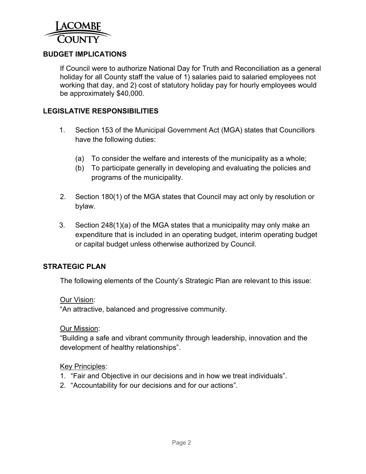

# **BUDGET IMPLICATIONS**

If Council were to authorize National Day for Truth and Reconciliation as a general holiday for all County staff the value of 1) salaries paid to salaried employees not working that day, and 2) cost of statutory holiday pay for hourly employees would be approximately \$40,000.

### **LEGISLATIVE RESPONSIBILITIES**

- 1. Section 153 of the Municipal Government Act (MGA) states that Councillors have the following duties:
	- (a) To consider the welfare and interests of the municipality as a whole;
	- (b) To participate generally in developing and evaluating the policies and programs of the municipality.
- 2. Section 180(1) of the MGA states that Council may act only by resolution or bylaw.
- 3. Section 248(1)(a) of the MGA states that a municipality may only make an expenditure that is included in an operating budget, interim operating budget or capital budget unless otherwise authorized by Council.

#### **STRATEGIC PLAN**

The following elements of the County's Strategic Plan are relevant to this issue:

#### Our Vision:

"An attractive, balanced and progressive community.

#### Our Mission:

"Building a safe and vibrant community through leadership, innovation and the development of healthy relationships".

#### Key Principles:

- 1. "Fair and Objective in our decisions and in how we treat individuals".
- 2. "Accountability for our decisions and for our actions".